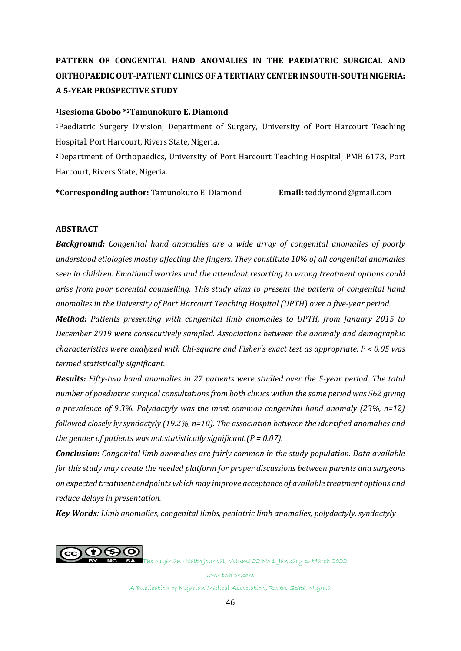# **PATTERN OF CONGENITAL HAND ANOMALIES IN THE PAEDIATRIC SURGICAL AND ORTHOPAEDIC OUT-PATIENT CLINICSOF A TERTIARY CENTER IN SOUTH-SOUTH NIGERIA: A 5-YEAR PROSPECTIVE STUDY**

#### **<sup>1</sup>Isesioma Gbobo \* <sup>2</sup>Tamunokuro E. Diamond**

<sup>1</sup>Paediatric Surgery Division, Department of Surgery, University of Port Harcourt Teaching Hospital, Port Harcourt, Rivers State, Nigeria.

<sup>2</sup>Department of Orthopaedics, University of Port Harcourt Teaching Hospital, PMB 6173, Port Harcourt, Rivers State, Nigeria.

**\*Corresponding author:** Tamunokuro E. Diamond **Email:** [teddymond@gmail.com](mailto:teddymond@gmail.com)

#### **ABSTRACT**

*Background: Congenital hand anomalies are a wide array of congenital anomalies of poorly understood etiologies mostly affecting the fingers. They constitute 10% of all congenital anomalies seen in children. Emotional worries and the attendant resorting to wrong treatment options could arise from poor parental counselling. This study aims to present the pattern of congenital hand anomalies in the University of Port Harcourt Teaching Hospital (UPTH) over a five-year period.* 

*Method: Patients presenting with congenital limb anomalies to UPTH, from January 2015 to December 2019 were consecutively sampled. Associations between the anomaly and demographic characteristics were analyzed with Chi-square and Fisher's exact test as appropriate. P < 0.05 was termed statistically significant.*

*Results: Fifty-two hand anomalies in 27 patients were studied over the 5-year period. The total number of paediatric surgical consultationsfrom both clinics within the same period was 562 giving a prevalence of 9.3%. Polydactyly was the most common congenital hand anomaly (23%, n=12) followed closely by syndactyly (19.2%, n=10). The association between the identified anomalies and the gender of patients was not statistically significant (P = 0.07).*

*Conclusion: Congenital limb anomalies are fairly common in the study population. Data available for this study may create the needed platform for proper discussions between parents and surgeons on expected treatment endpoints which may improve acceptance of available treatment options and reduce delays in presentation.* 

*Key Words: Limb anomalies, congenital limbs, pediatric limb anomalies, polydactyly, syndactyly*



The Nigerian Health Journal, Volume 22 No 1, January to March 2022

www.tnhjph.com

A Publication of Nigerian Medical Association, Rivers State, Nigeria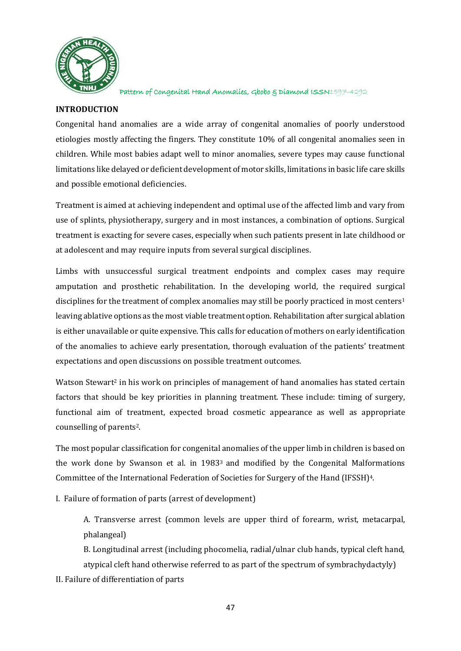

## **INTRODUCTION**

Congenital hand anomalies are a wide array of congenital anomalies of poorly understood etiologies mostly affecting the fingers. They constitute 10% of all congenital anomalies seen in children. While most babies adapt well to minor anomalies, severe types may cause functional limitations like delayed or deficient development of motor skills, limitations in basic life care skills and possible emotional deficiencies.

Treatment is aimed at achieving independent and optimal use of the affected limb and vary from use of splints, physiotherapy, surgery and in most instances, a combination of options. Surgical treatment is exacting for severe cases, especially when such patients present in late childhood or at adolescent and may require inputs from several surgical disciplines.

Limbs with unsuccessful surgical treatment endpoints and complex cases may require amputation and prosthetic rehabilitation. In the developing world, the required surgical disciplines for the treatment of complex anomalies may still be poorly practiced in most centers<sup>1</sup> leaving ablative options as the most viable treatment option. Rehabilitation after surgical ablation is either unavailable or quite expensive. This calls for education of mothers on early identification of the anomalies to achieve early presentation, thorough evaluation of the patients' treatment expectations and open discussions on possible treatment outcomes.

Watson Stewart<sup>2</sup> in his work on principles of management of hand anomalies has stated certain factors that should be key priorities in planning treatment. These include: timing of surgery, functional aim of treatment, expected broad cosmetic appearance as well as appropriate counselling of parents2.

The most popular classification for congenital anomalies of the upper limb in children is based on the work done by Swanson et al. in 1983<sup>3</sup> and modified by the Congenital Malformations Committee of the International Federation of Societies for Surgery of the Hand (IFSSH)4.

I. Failure of formation of parts (arrest of development)

A. Transverse arrest (common levels are upper third of forearm, wrist, metacarpal, phalangeal)

B. Longitudinal arrest (including phocomelia, radial/ulnar club hands, typical cleft hand, atypical cleft hand otherwise referred to as part of the spectrum of symbrachydactyly)

II. Failure of differentiation of parts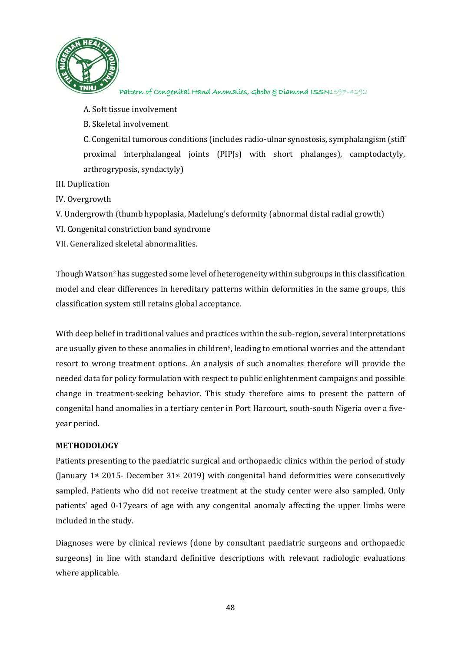

A. Soft tissue involvement

B. Skeletal involvement

C. Congenital tumorous conditions (includes radio-ulnar synostosis, symphalangism (stiff proximal interphalangeal joints (PIPJs) with short phalanges), camptodactyly, arthrogryposis, syndactyly)

III. Duplication

IV. Overgrowth

V. Undergrowth (thumb hypoplasia, Madelung's deformity (abnormal distal radial growth)

- VI. Congenital constriction band syndrome
- VII. Generalized skeletal abnormalities.

Though Watson<sup>2</sup> has suggested some level of heterogeneity within subgroups in this classification model and clear differences in hereditary patterns within deformities in the same groups, this classification system still retains global acceptance.

With deep belief in traditional values and practices within the sub-region, several interpretations are usually given to these anomalies in children5, leading to emotional worries and the attendant resort to wrong treatment options. An analysis of such anomalies therefore will provide the needed data for policy formulation with respect to public enlightenment campaigns and possible change in treatment-seeking behavior. This study therefore aims to present the pattern of congenital hand anomalies in a tertiary center in Port Harcourt, south-south Nigeria over a fiveyear period.

### **METHODOLOGY**

Patients presenting to the paediatric surgical and orthopaedic clinics within the period of study (January  $1^{st}$  2015- December 31 $st$  2019) with congenital hand deformities were consecutively sampled. Patients who did not receive treatment at the study center were also sampled. Only patients' aged 0-17years of age with any congenital anomaly affecting the upper limbs were included in the study.

Diagnoses were by clinical reviews (done by consultant paediatric surgeons and orthopaedic surgeons) in line with standard definitive descriptions with relevant radiologic evaluations where applicable.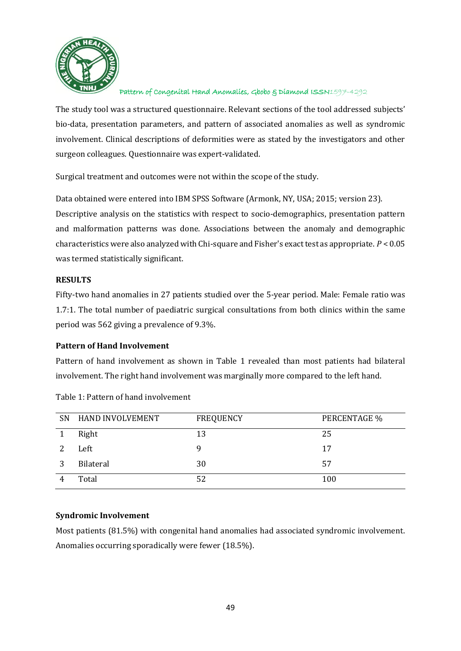

The study tool was a structured questionnaire. Relevant sections of the tool addressed subjects' bio-data, presentation parameters, and pattern of associated anomalies as well as syndromic involvement. Clinical descriptions of deformities were as stated by the investigators and other surgeon colleagues. Questionnaire was expert-validated.

Surgical treatment and outcomes were not within the scope of the study.

Data obtained were entered into IBM SPSS Software (Armonk, NY, USA; 2015; version 23).

Descriptive analysis on the statistics with respect to socio-demographics, presentation pattern and malformation patterns was done. Associations between the anomaly and demographic characteristics were also analyzed with Chi-square and Fisher's exact test as appropriate. *P* < 0.05 was termed statistically significant.

## **RESULTS**

Fifty-two hand anomalies in 27 patients studied over the 5-year period. Male: Female ratio was 1.7:1. The total number of paediatric surgical consultations from both clinics within the same period was 562 giving a prevalence of 9.3%.

# **Pattern of Hand Involvement**

Pattern of hand involvement as shown in Table 1 revealed than most patients had bilateral involvement. The right hand involvement was marginally more compared to the left hand.

|   | SN HAND INVOLVEMENT | <b>FREQUENCY</b> | PERCENTAGE % |
|---|---------------------|------------------|--------------|
|   | Right               | 13               | 25           |
|   | Left                | q                | 17           |
| 3 | Bilateral           | 30               | 57           |
|   | Total               | 52               | 100          |

Table 1: Pattern of hand involvement

# **Syndromic Involvement**

Most patients (81.5%) with congenital hand anomalies had associated syndromic involvement. Anomalies occurring sporadically were fewer (18.5%).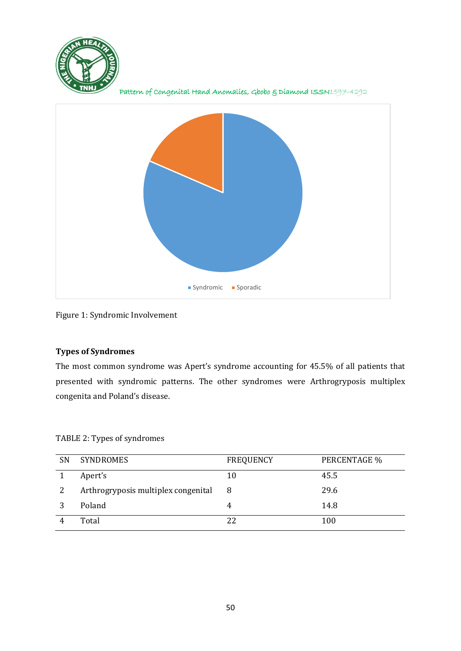

Pattern of Congenital Hand Anomalies, Gbobo & Diamond ISSN1597-4292



Figure 1: Syndromic Involvement

## **Types of Syndromes**

The most common syndrome was Apert's syndrome accounting for 45.5% of all patients that presented with syndromic patterns. The other syndromes were Arthrogryposis multiplex congenita and Poland's disease.

TABLE 2: Types of syndromes

| SN | <b>SYNDROMES</b>                    | <b>FREQUENCY</b> | PERCENTAGE % |
|----|-------------------------------------|------------------|--------------|
|    | Apert's                             | 10               | 45.5         |
|    | Arthrogryposis multiplex congenital | 8                | 29.6         |
|    | Poland                              |                  | 14.8         |
|    | Total                               | 22               | 100          |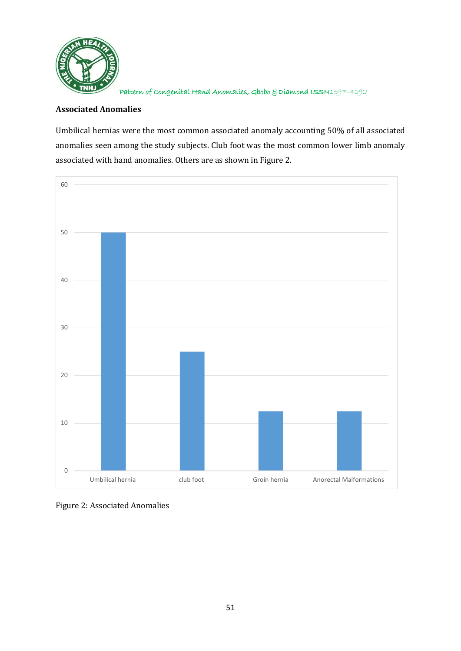

## **Associated Anomalies**

Umbilical hernias were the most common associated anomaly accounting 50% of all associated anomalies seen among the study subjects. Club foot was the most common lower limb anomaly associated with hand anomalies. Others are as shown in Figure 2.



Figure 2: Associated Anomalies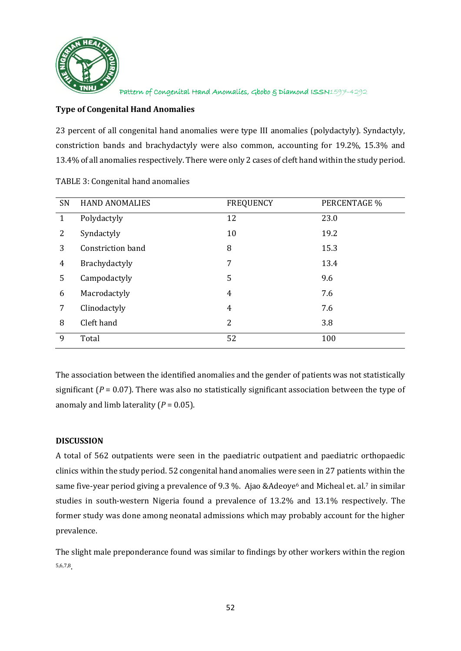

## **Type of Congenital Hand Anomalies**

23 percent of all congenital hand anomalies were type III anomalies (polydactyly). Syndactyly, constriction bands and brachydactyly were also common, accounting for 19.2%, 15.3% and 13.4% of all anomalies respectively. There were only 2 cases of cleft hand within the study period.

| SN             | <b>HAND ANOMALIES</b> | <b>FREQUENCY</b> | PERCENTAGE % |
|----------------|-----------------------|------------------|--------------|
| $\mathbf{1}$   | Polydactyly           | 12               | 23.0         |
| 2              | Syndactyly            | 10               | 19.2         |
| 3              | Constriction band     | 8                | 15.3         |
| $\overline{4}$ | Brachydactyly         | 7                | 13.4         |
| 5              | Campodactyly          | 5                | 9.6          |
| 6              | Macrodactyly          | $\overline{4}$   | 7.6          |
| 7              | Clinodactyly          | $\overline{4}$   | 7.6          |
| 8              | Cleft hand            | 2                | 3.8          |
| 9              | Total                 | 52               | 100          |

TABLE 3: Congenital hand anomalies

The association between the identified anomalies and the gender of patients was not statistically significant  $(P = 0.07)$ . There was also no statistically significant association between the type of anomaly and limb laterality  $(P = 0.05)$ .

### **DISCUSSION**

A total of 562 outpatients were seen in the paediatric outpatient and paediatric orthopaedic clinics within the study period. 52 congenital hand anomalies were seen in 27 patients within the same five-year period giving a prevalence of 9.3 %. Ajao &Adeoye<sup>6</sup> and Micheal et. al.<sup>7</sup> in similar studies in south-western Nigeria found a prevalence of 13.2% and 13.1% respectively. The former study was done among neonatal admissions which may probably account for the higher prevalence.

The slight male preponderance found was similar to findings by other workers within the region 5,6,7,8.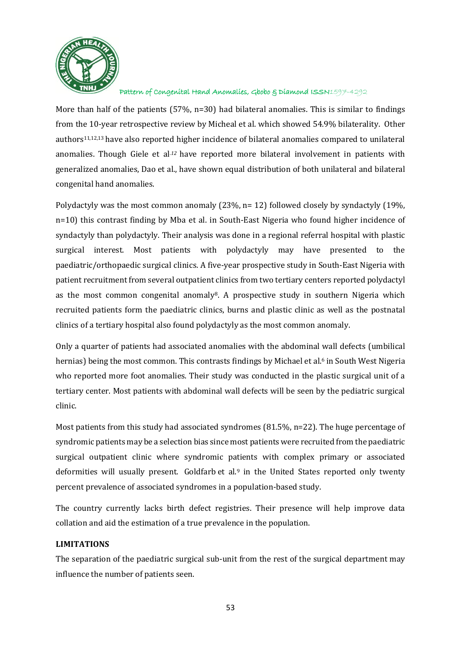

More than half of the patients (57%, n=30) had bilateral anomalies. This is similar to findings from the 10-year retrospective review by Micheal et al. which showed 54.9% bilaterality. Other authors11,12,13 have also reported higher incidence of bilateral anomalies compared to unilateral anomalies. Though Giele et al*.12* have reported more bilateral involvement in patients with generalized anomalies, Dao et al., have shown equal distribution of both unilateral and bilateral congenital hand anomalies.

Polydactyly was the most common anomaly (23%, n= 12) followed closely by syndactyly (19%, n=10) this contrast finding by Mba et al. in South-East Nigeria who found higher incidence of syndactyly than polydactyly. Their analysis was done in a regional referral hospital with plastic surgical interest. Most patients with polydactyly may have presented to the paediatric/orthopaedic surgical clinics. A five-year prospective study in South-East Nigeria with patient recruitment from several outpatient clinics from two tertiary centers reported polydactyl as the most common congenital anomaly8. A prospective study in southern Nigeria which recruited patients form the paediatric clinics, burns and plastic clinic as well as the postnatal clinics of a tertiary hospital also found polydactyly as the most common anomaly.

Only a quarter of patients had associated anomalies with the abdominal wall defects (umbilical hernias) being the most common. This contrasts findings by Michael et al. <sup>6</sup> in South West Nigeria who reported more foot anomalies. Their study was conducted in the plastic surgical unit of a tertiary center. Most patients with abdominal wall defects will be seen by the pediatric surgical clinic.

Most patients from this study had associated syndromes (81.5%, n=22). The huge percentage of syndromic patients may be a selection bias since most patients were recruited from the paediatric surgical outpatient clinic where syndromic patients with complex primary or associated deformities will usually present. Goldfarb et al.<sup>9</sup> in the United States reported only twenty percent prevalence of associated syndromes in a population-based study.

The country currently lacks birth defect registries. Their presence will help improve data collation and aid the estimation of a true prevalence in the population.

### **LIMITATIONS**

The separation of the paediatric surgical sub-unit from the rest of the surgical department may influence the number of patients seen.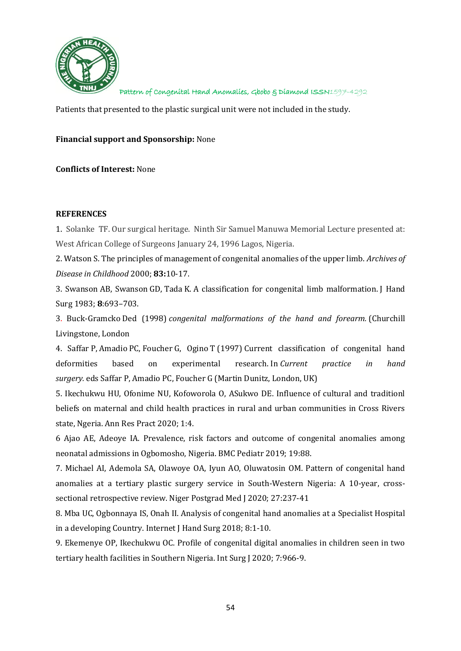

Patients that presented to the plastic surgical unit were not included in the study.

#### **Financial support and Sponsorship:** None

#### **Conflicts of Interest:** None

#### **REFERENCES**

1. Solanke TF. Our surgical heritage. Ninth Sir Samuel Manuwa Memorial Lecture presented at: West African College of Surgeons January 24, 1996 Lagos, Nigeria.

2. Watson S. The principles of management of congenital anomalies of the upper limb. *Archives of Disease in Childhood* 2000; **83:**10-17.

3. Swanson AB, Swanson GD, Tada K. A classification for congenital limb malformation. J Hand Surg 1983; **8**:693–703.

3. Buck-Gramcko Ded (1998) *congenital malformations of the hand and forearm.* (Churchill Livingstone, London

4. Saffar P, Amadio PC, Foucher G, Ogino T (1997) Current classification of congenital hand deformities based on experimental research. In *Current practice in hand surgery.* eds Saffar P, Amadio PC, Foucher G (Martin Dunitz, London, UK)

5. Ikechukwu HU, Ofonime NU, Kofoworola O, ASukwo DE. Influence of cultural and traditionl beliefs on maternal and child health practices in rural and urban communities in Cross Rivers state, Ngeria. Ann Res Pract 2020; 1:4.

6 Ajao AE, Adeoye IA. Prevalence, risk factors and outcome of congenital anomalies among neonatal admissions in Ogbomosho, Nigeria. BMC Pediatr 2019; 19:88.

7. Michael AI, Ademola SA, Olawoye OA, Iyun AO, Oluwatosin OM. Pattern of congenital hand anomalies at a tertiary plastic surgery service in South-Western Nigeria: A 10-year, crosssectional retrospective review. Niger Postgrad Med J 2020; 27:237-41

8. Mba UC, Ogbonnaya IS, Onah II. Analysis of congenital hand anomalies at a Specialist Hospital in a developing Country. Internet J Hand Surg 2018; 8:1-10.

9. Ekemenye OP, Ikechukwu OC. Profile of congenital digital anomalies in children seen in two tertiary health facilities in Southern Nigeria. Int Surg J 2020; 7:966-9.